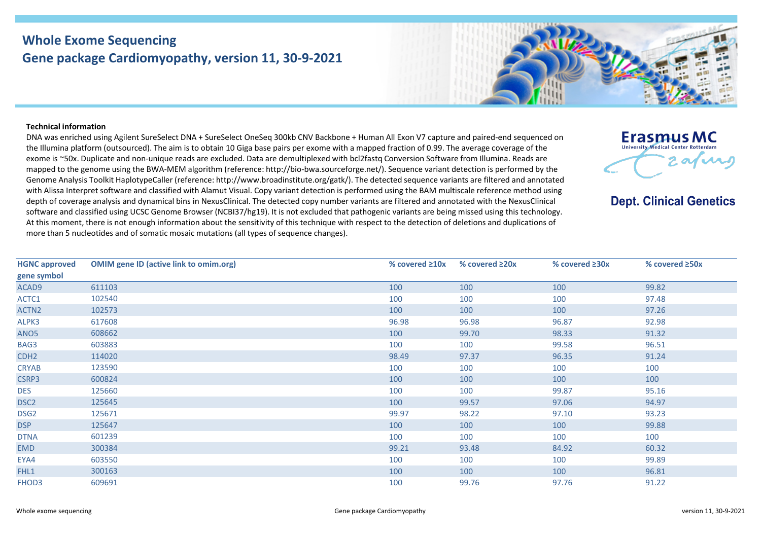## **Whole Exome Sequencing Gene package Cardiomyopathy, version 11, 30-9-2021**



## **Technical information**

DNA was enriched using Agilent SureSelect DNA + SureSelect OneSeq 300kb CNV Backbone + Human All Exon V7 capture and paired-end sequenced on the Illumina platform (outsourced). The aim is to obtain 10 Giga base pairs per exome with a mapped fraction of 0.99. The average coverage of the exome is ~50x. Duplicate and non-unique reads are excluded. Data are demultiplexed with bcl2fastq Conversion Software from Illumina. Reads are mapped to the genome using the BWA-MEM algorithm (reference: http://bio-bwa.sourceforge.net/). Sequence variant detection is performed by the Genome Analysis Toolkit HaplotypeCaller (reference: http://www.broadinstitute.org/gatk/). The detected sequence variants are filtered and annotated with Alissa Interpret software and classified with Alamut Visual. Copy variant detection is performed using the BAM multiscale reference method using depth of coverage analysis and dynamical bins in NexusClinical. The detected copy number variants are filtered and annotated with the NexusClinical software and classified using UCSC Genome Browser (NCBI37/hg19). It is not excluded that pathogenic variants are being missed using this technology. At this moment, there is not enough information about the sensitivity of this technique with respect to the detection of deletions and duplications of more than 5 nucleotides and of somatic mosaic mutations (all types of sequence changes).



**Dept. Clinical Genetics** 

| <b>HGNC approved</b> | <b>OMIM gene ID (active link to omim.org)</b> | % covered $\geq 10x$ | % covered $\geq 20x$ | % covered $\geq 30x$ | % covered $\geq$ 50x |
|----------------------|-----------------------------------------------|----------------------|----------------------|----------------------|----------------------|
| gene symbol          |                                               |                      |                      |                      |                      |
| ACAD9                | 611103                                        | 100                  | 100                  | 100                  | 99.82                |
| ACTC1                | 102540                                        | 100                  | 100                  | 100                  | 97.48                |
| ACTN <sub>2</sub>    | 102573                                        | 100                  | 100                  | 100                  | 97.26                |
| ALPK3                | 617608                                        | 96.98                | 96.98                | 96.87                | 92.98                |
| ANO <sub>5</sub>     | 608662                                        | 100                  | 99.70                | 98.33                | 91.32                |
| BAG3                 | 603883                                        | 100                  | 100                  | 99.58                | 96.51                |
| CDH <sub>2</sub>     | 114020                                        | 98.49                | 97.37                | 96.35                | 91.24                |
| <b>CRYAB</b>         | 123590                                        | 100                  | 100                  | 100                  | 100                  |
| CSRP3                | 600824                                        | 100                  | 100                  | 100                  | 100                  |
| <b>DES</b>           | 125660                                        | 100                  | 100                  | 99.87                | 95.16                |
| DSC <sub>2</sub>     | 125645                                        | 100                  | 99.57                | 97.06                | 94.97                |
| DSG <sub>2</sub>     | 125671                                        | 99.97                | 98.22                | 97.10                | 93.23                |
| <b>DSP</b>           | 125647                                        | 100                  | 100                  | 100                  | 99.88                |
| <b>DTNA</b>          | 601239                                        | 100                  | 100                  | 100                  | 100                  |
| <b>EMD</b>           | 300384                                        | 99.21                | 93.48                | 84.92                | 60.32                |
| EYA4                 | 603550                                        | 100                  | 100                  | 100                  | 99.89                |
| FHL1                 | 300163                                        | 100                  | 100                  | 100                  | 96.81                |
| FHOD3                | 609691                                        | 100                  | 99.76                | 97.76                | 91.22                |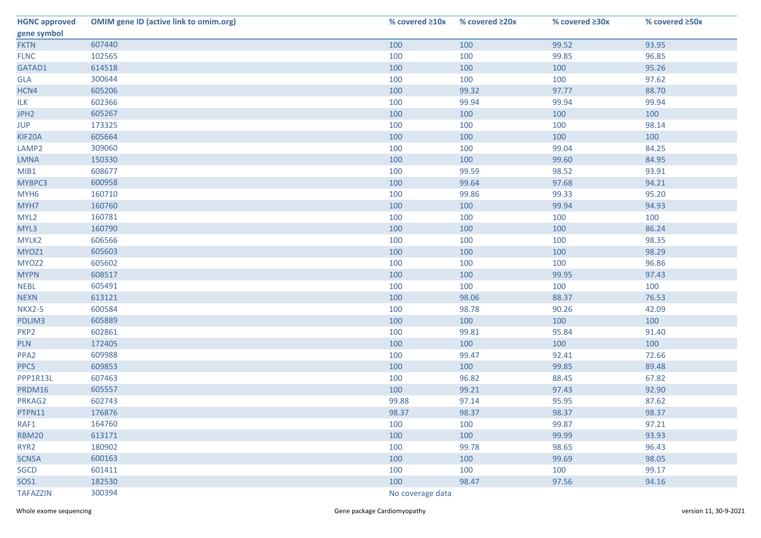| <b>HGNC approved</b> | <b>OMIM gene ID (active link to omim.org)</b> | % covered $\geq 10x$ | % covered ≥20x | % covered ≥30x | % covered ≥50x |  |
|----------------------|-----------------------------------------------|----------------------|----------------|----------------|----------------|--|
| gene symbol          |                                               |                      |                |                |                |  |
| <b>FKTN</b>          | 607440                                        | 100                  | 100            | 99.52          | 93.95          |  |
| <b>FLNC</b>          | 102565                                        | 100                  | 100            | 99.85          | 96.85          |  |
| GATAD1               | 614518                                        | 100                  | 100            | 100            | 95.26          |  |
| <b>GLA</b>           | 300644                                        | 100                  | 100            | 100            | 97.62          |  |
| HCN4                 | 605206                                        | 100                  | 99.32          | 97.77          | 88.70          |  |
| <b>ILK</b>           | 602366                                        | 100                  | 99.94          | 99.94          | 99.94          |  |
| JPH <sub>2</sub>     | 605267                                        | 100                  | 100            | 100            | 100            |  |
| <b>JUP</b>           | 173325                                        | 100                  | 100            | 100            | 98.14          |  |
| KIF20A               | 605664                                        | 100                  | 100            | 100            | 100            |  |
| LAMP <sub>2</sub>    | 309060                                        | 100                  | 100            | 99.04          | 84.25          |  |
| <b>LMNA</b>          | 150330                                        | 100                  | 100            | 99.60          | 84.95          |  |
| MIB1                 | 608677                                        | 100                  | 99.59          | 98.52          | 93.91          |  |
| MYBPC3               | 600958                                        | 100                  | 99.64          | 97.68          | 94.21          |  |
| MYH <sub>6</sub>     | 160710                                        | 100                  | 99.86          | 99.33          | 95.20          |  |
| MYH7                 | 160760                                        | 100                  | 100            | 99.94          | 94.93          |  |
| MYL <sub>2</sub>     | 160781                                        | 100                  | 100            | 100            | 100            |  |
| MYL3                 | 160790                                        | 100                  | 100            | 100            | 86.24          |  |
| MYLK2                | 606566                                        | 100                  | 100            | 100            | 98.35          |  |
| MYOZ1                | 605603                                        | 100                  | 100            | 100            | 98.29          |  |
| MYOZ2                | 605602                                        | 100                  | 100            | 100            | 96.86          |  |
| <b>MYPN</b>          | 608517                                        | 100                  | 100            | 99.95          | 97.43          |  |
| <b>NEBL</b>          | 605491                                        | 100                  | 100            | 100            | 100            |  |
| <b>NEXN</b>          | 613121                                        | 100                  | 98.06          | 88.37          | 76.53          |  |
| <b>NKX2-5</b>        | 600584                                        | 100                  | 98.78          | 90.26          | 42.09          |  |
| PDLIM3               | 605889                                        | 100                  | 100            | 100            | 100            |  |
| PKP <sub>2</sub>     | 602861                                        | 100                  | 99.81          | 95.84          | 91.40          |  |
| <b>PLN</b>           | 172405                                        | 100                  | 100            | 100            | 100            |  |
| PPA <sub>2</sub>     | 609988                                        | 100                  | 99.47          | 92.41          | 72.66          |  |
| <b>PPCS</b>          | 609853                                        | 100                  | 100            | 99.85          | 89.48          |  |
| PPP1R13L             | 607463                                        | 100                  | 96.82          | 88.45          | 67.82          |  |
| PRDM16               | 605557                                        | 100                  | 99.21          | 97.43          | 92.90          |  |
| PRKAG2               | 602743                                        | 99.88                | 97.14          | 95.95          | 87.62          |  |
| PTPN11               | 176876                                        | 98.37                | 98.37          | 98.37          | 98.37          |  |
| RAF1                 | 164760                                        | 100                  | 100            | 99.87          | 97.21          |  |
| <b>RBM20</b>         | 613171                                        | 100                  | 100            | 99.99          | 93.93          |  |
| RYR <sub>2</sub>     | 180902                                        | 100                  | 99.78          | 98.65          | 96.43          |  |
| SCN5A                | 600163                                        | 100                  | 100            | 99.69          | 98.05          |  |
| SGCD                 | 601411                                        | 100                  | 100            | 100            | 99.17          |  |
| SOS1                 | 182530                                        | 100                  | 98.47          | 97.56          | 94.16          |  |
| <b>TAFAZZIN</b>      | 300394                                        | No coverage data     |                |                |                |  |